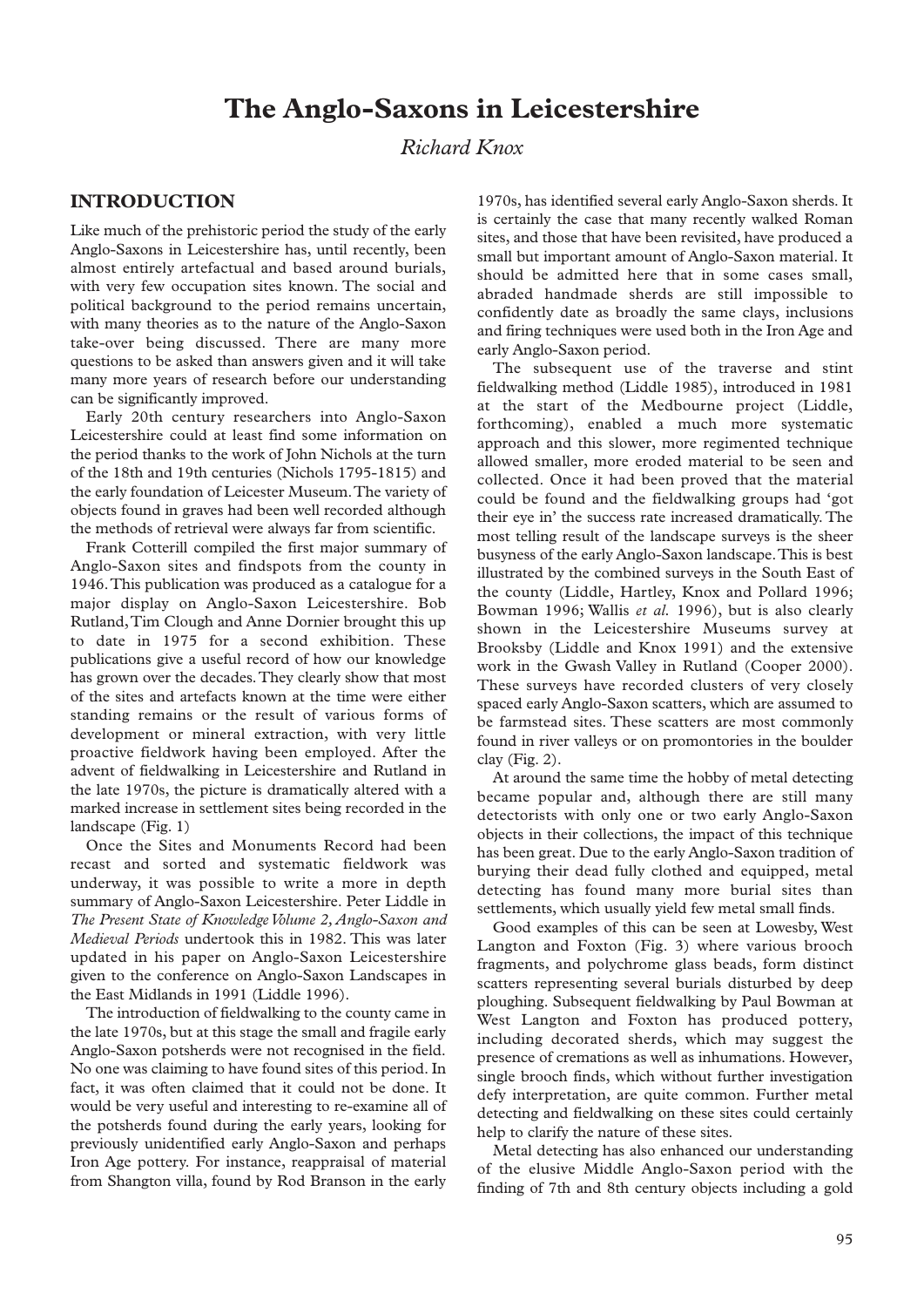# **The Anglo-Saxons in Leicestershire**

## *Richard Knox*

## **INTRODUCTION**

Like much of the prehistoric period the study of the early Anglo-Saxons in Leicestershire has, until recently, been almost entirely artefactual and based around burials, with very few occupation sites known. The social and political background to the period remains uncertain, with many theories as to the nature of the Anglo-Saxon take-over being discussed. There are many more questions to be asked than answers given and it will take many more years of research before our understanding can be significantly improved.

Early 20th century researchers into Anglo-Saxon Leicestershire could at least find some information on the period thanks to the work of John Nichols at the turn of the 18th and 19th centuries (Nichols 1795-1815) and the early foundation of Leicester Museum.The variety of objects found in graves had been well recorded although the methods of retrieval were always far from scientific.

Frank Cotterill compiled the first major summary of Anglo-Saxon sites and findspots from the county in 1946.This publication was produced as a catalogue for a major display on Anglo-Saxon Leicestershire. Bob Rutland,Tim Clough and Anne Dornier brought this up to date in 1975 for a second exhibition. These publications give a useful record of how our knowledge has grown over the decades.They clearly show that most of the sites and artefacts known at the time were either standing remains or the result of various forms of development or mineral extraction, with very little proactive fieldwork having been employed. After the advent of fieldwalking in Leicestershire and Rutland in the late 1970s, the picture is dramatically altered with a marked increase in settlement sites being recorded in the landscape (Fig. 1)

Once the Sites and Monuments Record had been recast and sorted and systematic fieldwork was underway, it was possible to write a more in depth summary of Anglo-Saxon Leicestershire. Peter Liddle in *The Present State of Knowledge Volume 2, Anglo-Saxon and Medieval Periods* undertook this in 1982. This was later updated in his paper on Anglo-Saxon Leicestershire given to the conference on Anglo-Saxon Landscapes in the East Midlands in 1991 (Liddle 1996).

The introduction of fieldwalking to the county came in the late 1970s, but at this stage the small and fragile early Anglo-Saxon potsherds were not recognised in the field. No one was claiming to have found sites of this period. In fact, it was often claimed that it could not be done. It would be very useful and interesting to re-examine all of the potsherds found during the early years, looking for previously unidentified early Anglo-Saxon and perhaps Iron Age pottery. For instance, reappraisal of material from Shangton villa, found by Rod Branson in the early

1970s, has identified several early Anglo-Saxon sherds. It is certainly the case that many recently walked Roman sites, and those that have been revisited, have produced a small but important amount of Anglo-Saxon material. It should be admitted here that in some cases small, abraded handmade sherds are still impossible to confidently date as broadly the same clays, inclusions and firing techniques were used both in the Iron Age and early Anglo-Saxon period.

The subsequent use of the traverse and stint fieldwalking method (Liddle 1985), introduced in 1981 at the start of the Medbourne project (Liddle, forthcoming), enabled a much more systematic approach and this slower, more regimented technique allowed smaller, more eroded material to be seen and collected. Once it had been proved that the material could be found and the fieldwalking groups had 'got their eye in' the success rate increased dramatically. The most telling result of the landscape surveys is the sheer busyness of the early Anglo-Saxon landscape.This is best illustrated by the combined surveys in the South East of the county (Liddle, Hartley, Knox and Pollard 1996; Bowman 1996; Wallis *et al.* 1996), but is also clearly shown in the Leicestershire Museums survey at Brooksby (Liddle and Knox 1991) and the extensive work in the Gwash Valley in Rutland (Cooper 2000). These surveys have recorded clusters of very closely spaced early Anglo-Saxon scatters, which are assumed to be farmstead sites. These scatters are most commonly found in river valleys or on promontories in the boulder clay (Fig. 2).

At around the same time the hobby of metal detecting became popular and, although there are still many detectorists with only one or two early Anglo-Saxon objects in their collections, the impact of this technique has been great. Due to the early Anglo-Saxon tradition of burying their dead fully clothed and equipped, metal detecting has found many more burial sites than settlements, which usually yield few metal small finds.

Good examples of this can be seen at Lowesby, West Langton and Foxton (Fig. 3) where various brooch fragments, and polychrome glass beads, form distinct scatters representing several burials disturbed by deep ploughing. Subsequent fieldwalking by Paul Bowman at West Langton and Foxton has produced pottery, including decorated sherds, which may suggest the presence of cremations as well as inhumations. However, single brooch finds, which without further investigation defy interpretation, are quite common. Further metal detecting and fieldwalking on these sites could certainly help to clarify the nature of these sites.

Metal detecting has also enhanced our understanding of the elusive Middle Anglo-Saxon period with the finding of 7th and 8th century objects including a gold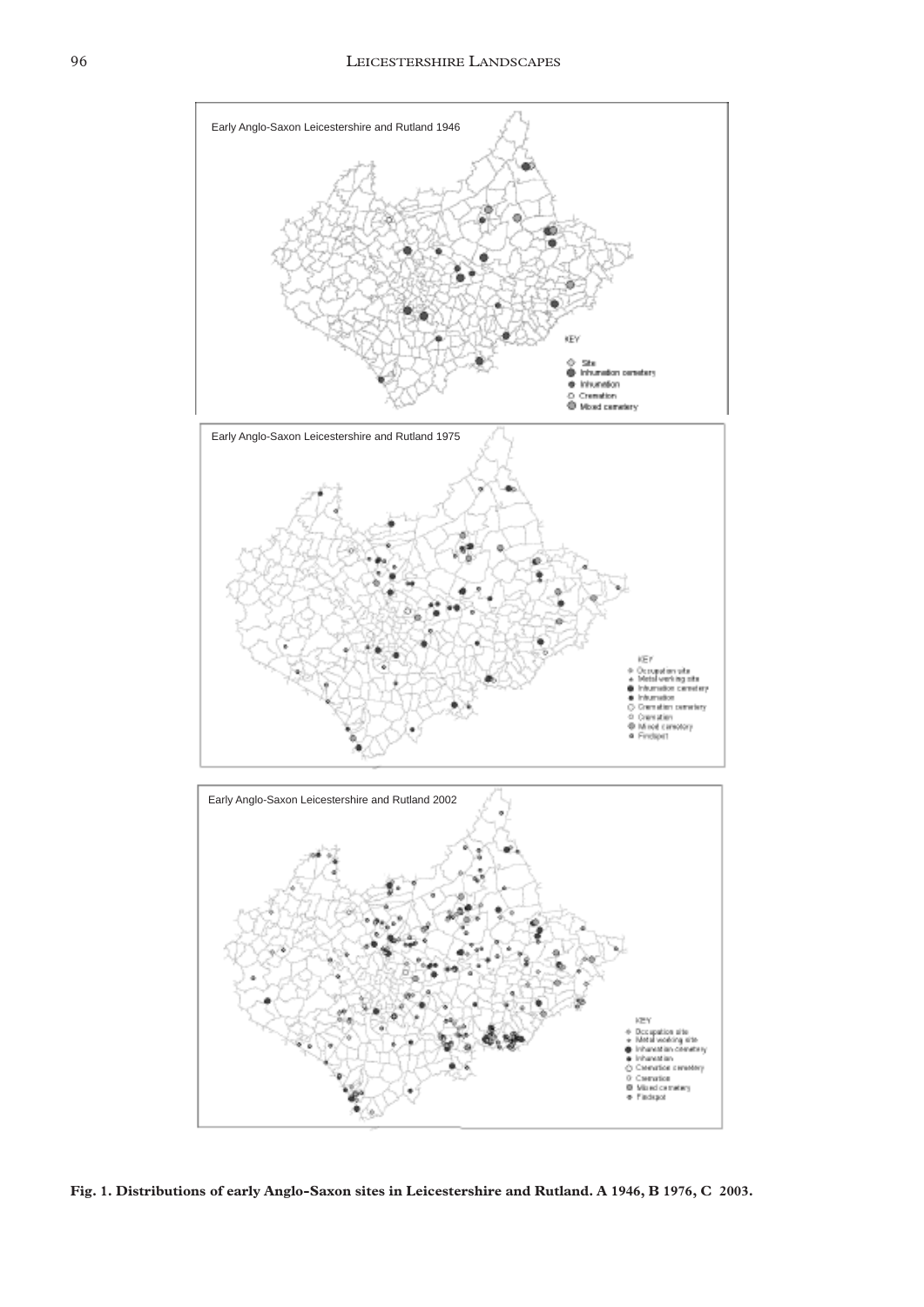

**Fig. 1. Distributions of early Anglo-Saxon sites in Leicestershire and Rutland. A 1946, B 1976, C 2003.**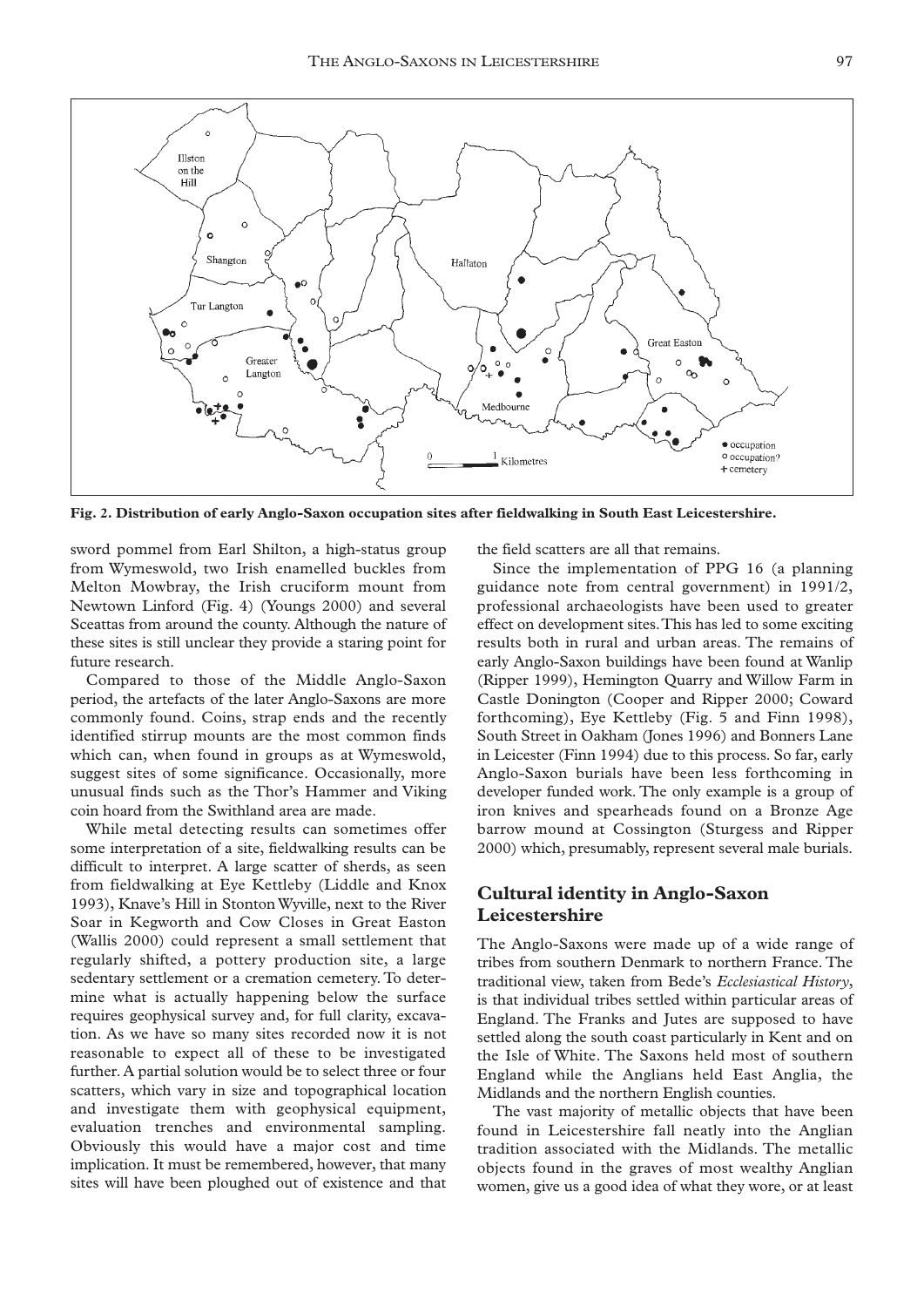

**Fig. 2. Distribution of early Anglo-Saxon occupation sites after fieldwalking in South East Leicestershire.**

sword pommel from Earl Shilton, a high-status group from Wymeswold, two Irish enamelled buckles from Melton Mowbray, the Irish cruciform mount from Newtown Linford (Fig. 4) (Youngs 2000) and several Sceattas from around the county. Although the nature of these sites is still unclear they provide a staring point for future research.

Compared to those of the Middle Anglo-Saxon period, the artefacts of the later Anglo-Saxons are more commonly found. Coins, strap ends and the recently identified stirrup mounts are the most common finds which can, when found in groups as at Wymeswold, suggest sites of some significance. Occasionally, more unusual finds such as the Thor's Hammer and Viking coin hoard from the Swithland area are made.

While metal detecting results can sometimes offer some interpretation of a site, fieldwalking results can be difficult to interpret. A large scatter of sherds, as seen from fieldwalking at Eye Kettleby (Liddle and Knox 1993), Knave's Hill in Stonton Wyville, next to the River Soar in Kegworth and Cow Closes in Great Easton (Wallis 2000) could represent a small settlement that regularly shifted, a pottery production site, a large sedentary settlement or a cremation cemetery. To determine what is actually happening below the surface requires geophysical survey and, for full clarity, excavation. As we have so many sites recorded now it is not reasonable to expect all of these to be investigated further. A partial solution would be to select three or four scatters, which vary in size and topographical location and investigate them with geophysical equipment, evaluation trenches and environmental sampling. Obviously this would have a major cost and time implication. It must be remembered, however, that many sites will have been ploughed out of existence and that

the field scatters are all that remains.

Since the implementation of PPG 16 (a planning guidance note from central government) in 1991/2, professional archaeologists have been used to greater effect on development sites.This has led to some exciting results both in rural and urban areas. The remains of early Anglo-Saxon buildings have been found at Wanlip (Ripper 1999), Hemington Quarry and Willow Farm in Castle Donington (Cooper and Ripper 2000; Coward forthcoming), Eye Kettleby (Fig. 5 and Finn 1998), South Street in Oakham (Jones 1996) and Bonners Lane in Leicester (Finn 1994) due to this process. So far, early Anglo-Saxon burials have been less forthcoming in developer funded work. The only example is a group of iron knives and spearheads found on a Bronze Age barrow mound at Cossington (Sturgess and Ripper 2000) which, presumably, represent several male burials.

## **Cultural identity in Anglo-Saxon Leicestershire**

The Anglo-Saxons were made up of a wide range of tribes from southern Denmark to northern France. The traditional view, taken from Bede's *Ecclesiastical History*, is that individual tribes settled within particular areas of England. The Franks and Jutes are supposed to have settled along the south coast particularly in Kent and on the Isle of White. The Saxons held most of southern England while the Anglians held East Anglia, the Midlands and the northern English counties.

The vast majority of metallic objects that have been found in Leicestershire fall neatly into the Anglian tradition associated with the Midlands. The metallic objects found in the graves of most wealthy Anglian women, give us a good idea of what they wore, or at least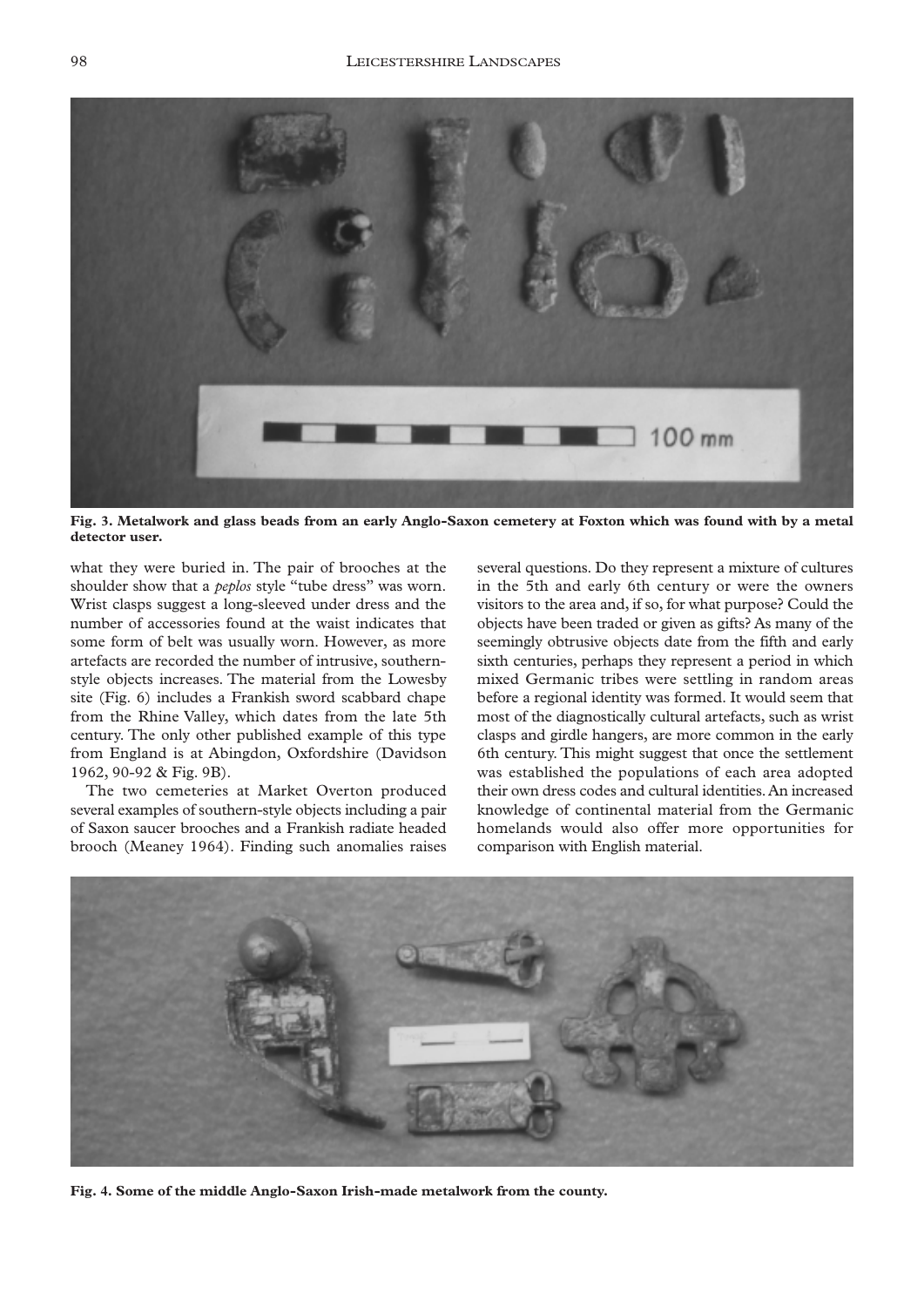

**Fig. 3. Metalwork and glass beads from an early Anglo-Saxon cemetery at Foxton which was found with by a metal detector user.**

what they were buried in. The pair of brooches at the shoulder show that a *peplos* style "tube dress" was worn. Wrist clasps suggest a long-sleeved under dress and the number of accessories found at the waist indicates that some form of belt was usually worn. However, as more artefacts are recorded the number of intrusive, southernstyle objects increases. The material from the Lowesby site (Fig. 6) includes a Frankish sword scabbard chape from the Rhine Valley, which dates from the late 5th century. The only other published example of this type from England is at Abingdon, Oxfordshire (Davidson 1962, 90-92 & Fig. 9B).

The two cemeteries at Market Overton produced several examples of southern-style objects including a pair of Saxon saucer brooches and a Frankish radiate headed brooch (Meaney 1964). Finding such anomalies raises

several questions. Do they represent a mixture of cultures in the 5th and early 6th century or were the owners visitors to the area and, if so, for what purpose? Could the objects have been traded or given as gifts? As many of the seemingly obtrusive objects date from the fifth and early sixth centuries, perhaps they represent a period in which mixed Germanic tribes were settling in random areas before a regional identity was formed. It would seem that most of the diagnostically cultural artefacts, such as wrist clasps and girdle hangers, are more common in the early 6th century. This might suggest that once the settlement was established the populations of each area adopted their own dress codes and cultural identities.An increased knowledge of continental material from the Germanic homelands would also offer more opportunities for comparison with English material.



**Fig. 4. Some of the middle Anglo-Saxon Irish-made metalwork from the county.**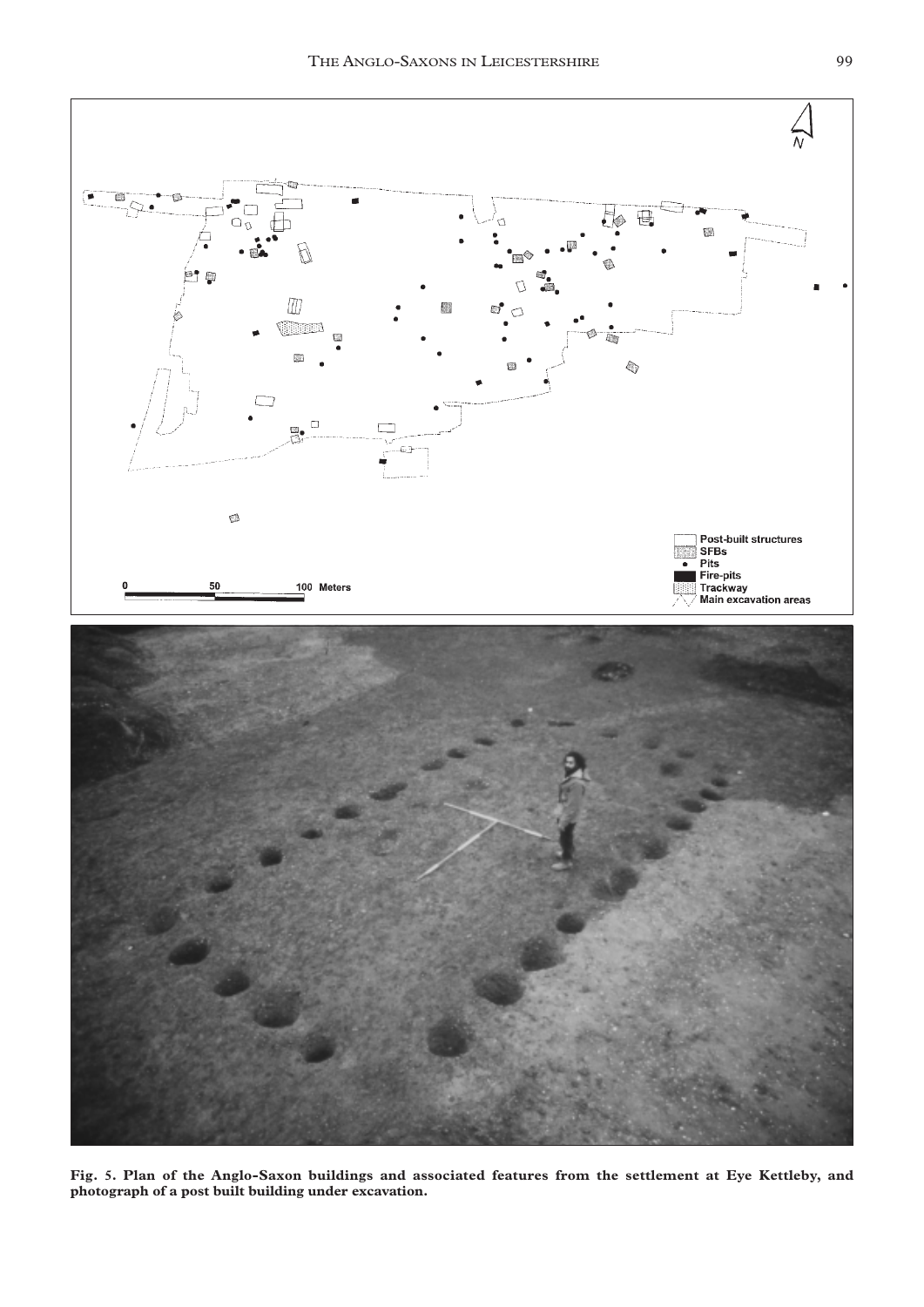

**Fig. 5. Plan of the Anglo-Saxon buildings and associated features from the settlement at Eye Kettleby, and photograph of a post built building under excavation.**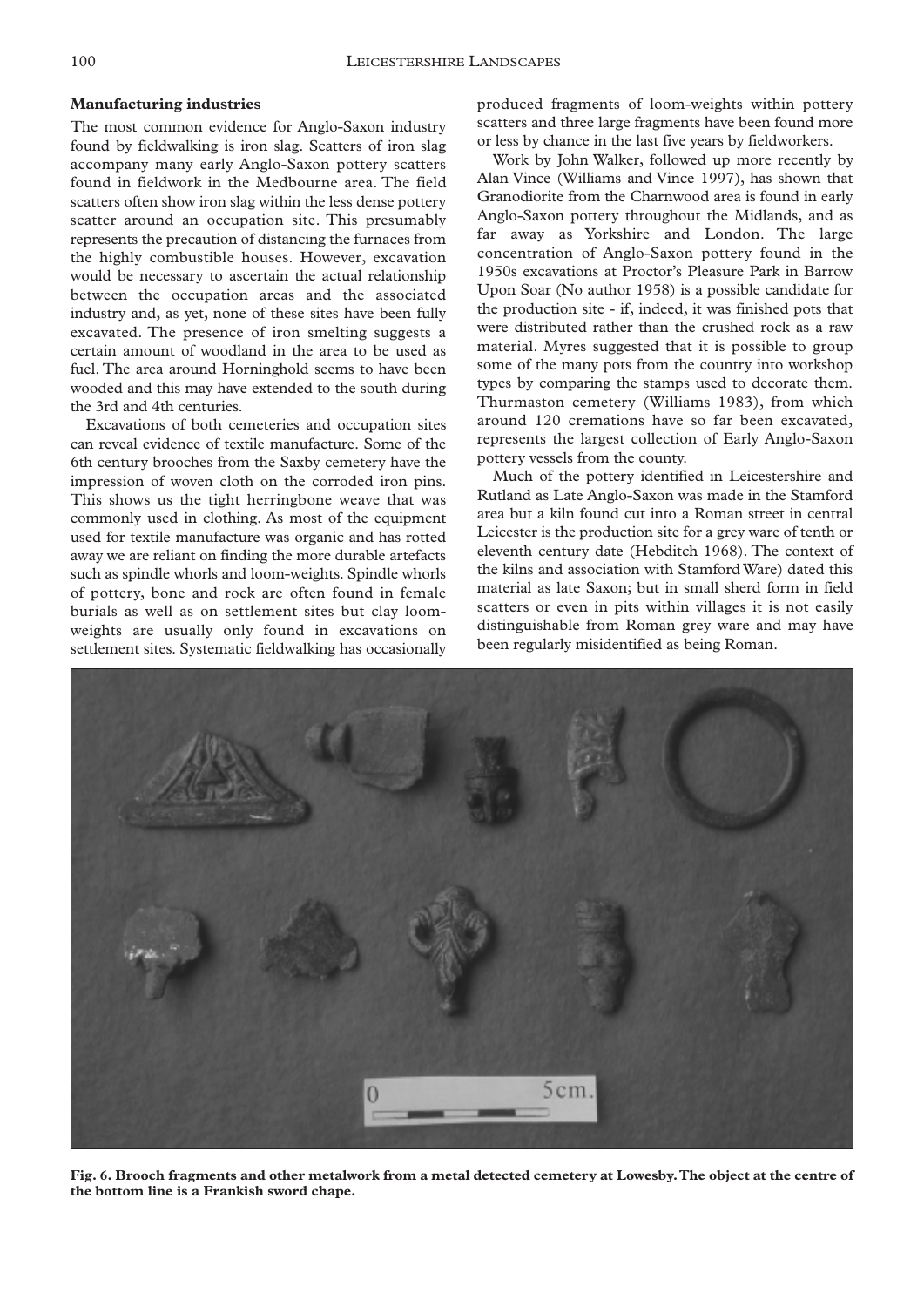#### **Manufacturing industries**

The most common evidence for Anglo-Saxon industry found by fieldwalking is iron slag. Scatters of iron slag accompany many early Anglo-Saxon pottery scatters found in fieldwork in the Medbourne area. The field scatters often show iron slag within the less dense pottery scatter around an occupation site. This presumably represents the precaution of distancing the furnaces from the highly combustible houses. However, excavation would be necessary to ascertain the actual relationship between the occupation areas and the associated industry and, as yet, none of these sites have been fully excavated. The presence of iron smelting suggests a certain amount of woodland in the area to be used as fuel. The area around Horninghold seems to have been wooded and this may have extended to the south during the 3rd and 4th centuries.

Excavations of both cemeteries and occupation sites can reveal evidence of textile manufacture. Some of the 6th century brooches from the Saxby cemetery have the impression of woven cloth on the corroded iron pins. This shows us the tight herringbone weave that was commonly used in clothing. As most of the equipment used for textile manufacture was organic and has rotted away we are reliant on finding the more durable artefacts such as spindle whorls and loom-weights. Spindle whorls of pottery, bone and rock are often found in female burials as well as on settlement sites but clay loomweights are usually only found in excavations on settlement sites. Systematic fieldwalking has occasionally

produced fragments of loom-weights within pottery scatters and three large fragments have been found more or less by chance in the last five years by fieldworkers.

Work by John Walker, followed up more recently by Alan Vince (Williams and Vince 1997), has shown that Granodiorite from the Charnwood area is found in early Anglo-Saxon pottery throughout the Midlands, and as far away as Yorkshire and London. The large concentration of Anglo-Saxon pottery found in the 1950s excavations at Proctor's Pleasure Park in Barrow Upon Soar (No author 1958) is a possible candidate for the production site - if, indeed, it was finished pots that were distributed rather than the crushed rock as a raw material. Myres suggested that it is possible to group some of the many pots from the country into workshop types by comparing the stamps used to decorate them. Thurmaston cemetery (Williams 1983), from which around 120 cremations have so far been excavated, represents the largest collection of Early Anglo-Saxon pottery vessels from the county.

Much of the pottery identified in Leicestershire and Rutland as Late Anglo-Saxon was made in the Stamford area but a kiln found cut into a Roman street in central Leicester is the production site for a grey ware of tenth or eleventh century date (Hebditch 1968). The context of the kilns and association with Stamford Ware) dated this material as late Saxon; but in small sherd form in field scatters or even in pits within villages it is not easily distinguishable from Roman grey ware and may have been regularly misidentified as being Roman.



**Fig. 6. Brooch fragments and other metalwork from a metal detected cemetery at Lowesby.The object at the centre of the bottom line is a Frankish sword chape.**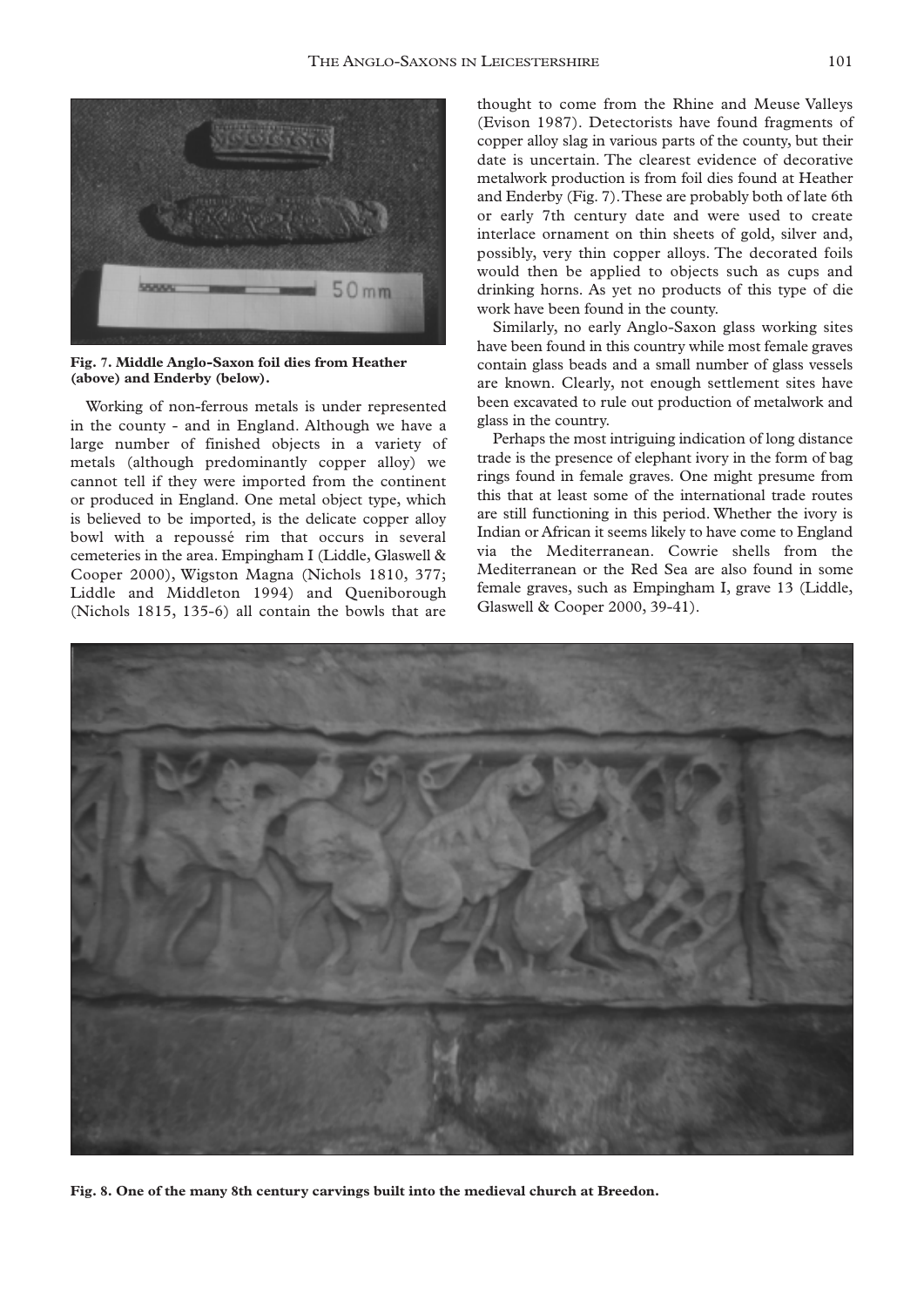

**Fig. 7. Middle Anglo-Saxon foil dies from Heather (above) and Enderby (below).**

Working of non-ferrous metals is under represented in the county - and in England. Although we have a large number of finished objects in a variety of metals (although predominantly copper alloy) we cannot tell if they were imported from the continent or produced in England. One metal object type, which is believed to be imported, is the delicate copper alloy bowl with a repoussé rim that occurs in several cemeteries in the area. Empingham I (Liddle, Glaswell & Cooper 2000), Wigston Magna (Nichols 1810, 377; Liddle and Middleton 1994) and Queniborough (Nichols 1815, 135-6) all contain the bowls that are

thought to come from the Rhine and Meuse Valleys (Evison 1987). Detectorists have found fragments of copper alloy slag in various parts of the county, but their date is uncertain. The clearest evidence of decorative metalwork production is from foil dies found at Heather and Enderby (Fig. 7).These are probably both of late 6th or early 7th century date and were used to create interlace ornament on thin sheets of gold, silver and, possibly, very thin copper alloys. The decorated foils would then be applied to objects such as cups and drinking horns. As yet no products of this type of die work have been found in the county.

Similarly, no early Anglo-Saxon glass working sites have been found in this country while most female graves contain glass beads and a small number of glass vessels are known. Clearly, not enough settlement sites have been excavated to rule out production of metalwork and glass in the country.

Perhaps the most intriguing indication of long distance trade is the presence of elephant ivory in the form of bag rings found in female graves. One might presume from this that at least some of the international trade routes are still functioning in this period. Whether the ivory is Indian or African it seems likely to have come to England via the Mediterranean. Cowrie shells from the Mediterranean or the Red Sea are also found in some female graves, such as Empingham I, grave 13 (Liddle, Glaswell & Cooper 2000, 39-41).



**Fig. 8. One of the many 8th century carvings built into the medieval church at Breedon.**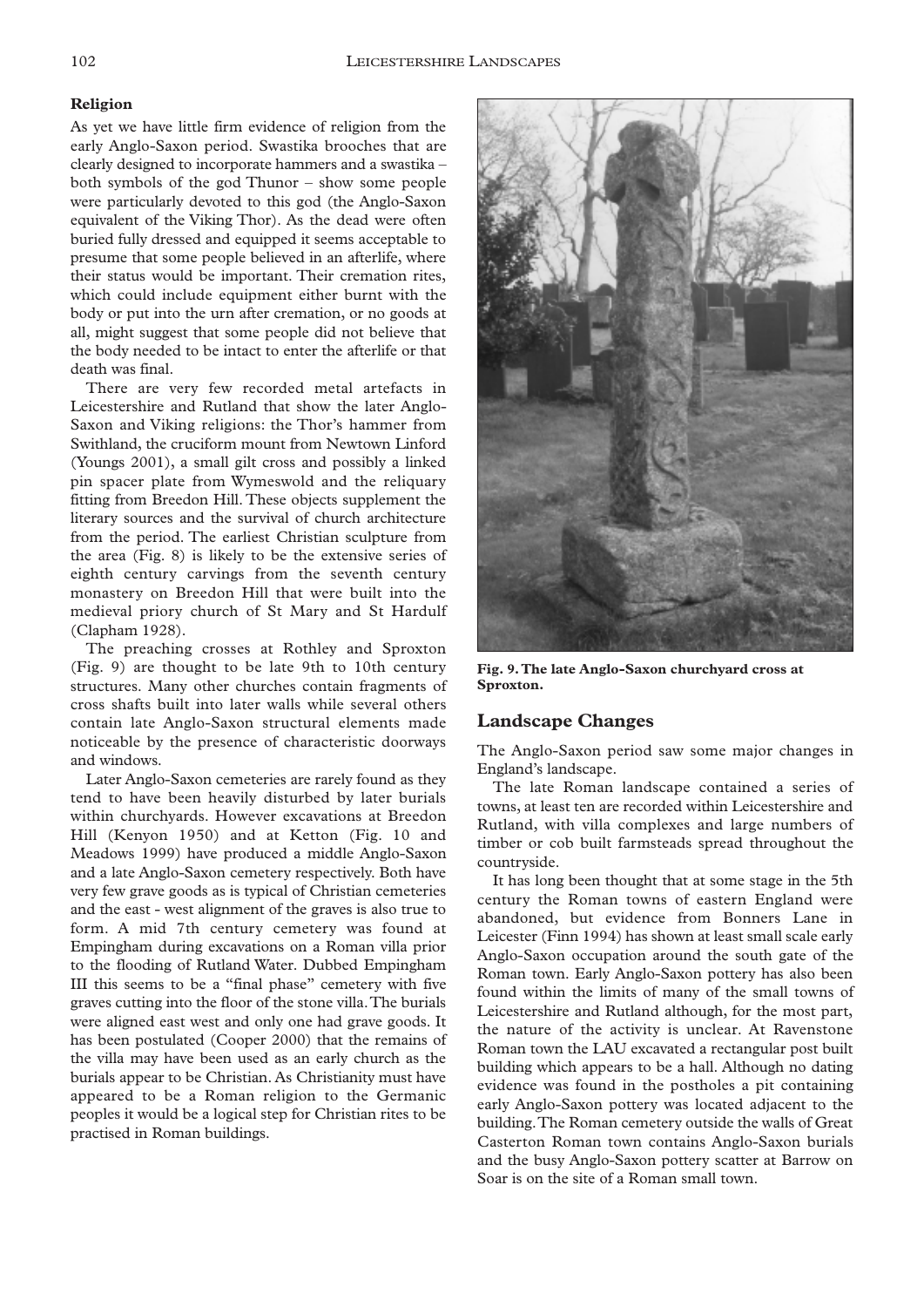#### **Religion**

As yet we have little firm evidence of religion from the early Anglo-Saxon period. Swastika brooches that are clearly designed to incorporate hammers and a swastika – both symbols of the god Thunor – show some people were particularly devoted to this god (the Anglo-Saxon equivalent of the Viking Thor). As the dead were often buried fully dressed and equipped it seems acceptable to presume that some people believed in an afterlife, where their status would be important. Their cremation rites, which could include equipment either burnt with the body or put into the urn after cremation, or no goods at all, might suggest that some people did not believe that the body needed to be intact to enter the afterlife or that death was final.

There are very few recorded metal artefacts in Leicestershire and Rutland that show the later Anglo-Saxon and Viking religions: the Thor's hammer from Swithland, the cruciform mount from Newtown Linford (Youngs 2001), a small gilt cross and possibly a linked pin spacer plate from Wymeswold and the reliquary fitting from Breedon Hill. These objects supplement the literary sources and the survival of church architecture from the period. The earliest Christian sculpture from the area (Fig. 8) is likely to be the extensive series of eighth century carvings from the seventh century monastery on Breedon Hill that were built into the medieval priory church of St Mary and St Hardulf (Clapham 1928).

The preaching crosses at Rothley and Sproxton (Fig. 9) are thought to be late 9th to 10th century structures. Many other churches contain fragments of cross shafts built into later walls while several others contain late Anglo-Saxon structural elements made noticeable by the presence of characteristic doorways and windows.

Later Anglo-Saxon cemeteries are rarely found as they tend to have been heavily disturbed by later burials within churchyards. However excavations at Breedon Hill (Kenyon 1950) and at Ketton (Fig. 10 and Meadows 1999) have produced a middle Anglo-Saxon and a late Anglo-Saxon cemetery respectively. Both have very few grave goods as is typical of Christian cemeteries and the east - west alignment of the graves is also true to form. A mid 7th century cemetery was found at Empingham during excavations on a Roman villa prior to the flooding of Rutland Water. Dubbed Empingham III this seems to be a "final phase" cemetery with five graves cutting into the floor of the stone villa.The burials were aligned east west and only one had grave goods. It has been postulated (Cooper 2000) that the remains of the villa may have been used as an early church as the burials appear to be Christian. As Christianity must have appeared to be a Roman religion to the Germanic peoples it would be a logical step for Christian rites to be practised in Roman buildings.



**Fig. 9.The late Anglo-Saxon churchyard cross at Sproxton.**

## **Landscape Changes**

The Anglo-Saxon period saw some major changes in England's landscape.

The late Roman landscape contained a series of towns, at least ten are recorded within Leicestershire and Rutland, with villa complexes and large numbers of timber or cob built farmsteads spread throughout the countryside.

It has long been thought that at some stage in the 5th century the Roman towns of eastern England were abandoned, but evidence from Bonners Lane in Leicester (Finn 1994) has shown at least small scale early Anglo-Saxon occupation around the south gate of the Roman town. Early Anglo-Saxon pottery has also been found within the limits of many of the small towns of Leicestershire and Rutland although, for the most part, the nature of the activity is unclear. At Ravenstone Roman town the LAU excavated a rectangular post built building which appears to be a hall. Although no dating evidence was found in the postholes a pit containing early Anglo-Saxon pottery was located adjacent to the building.The Roman cemetery outside the walls of Great Casterton Roman town contains Anglo-Saxon burials and the busy Anglo-Saxon pottery scatter at Barrow on Soar is on the site of a Roman small town.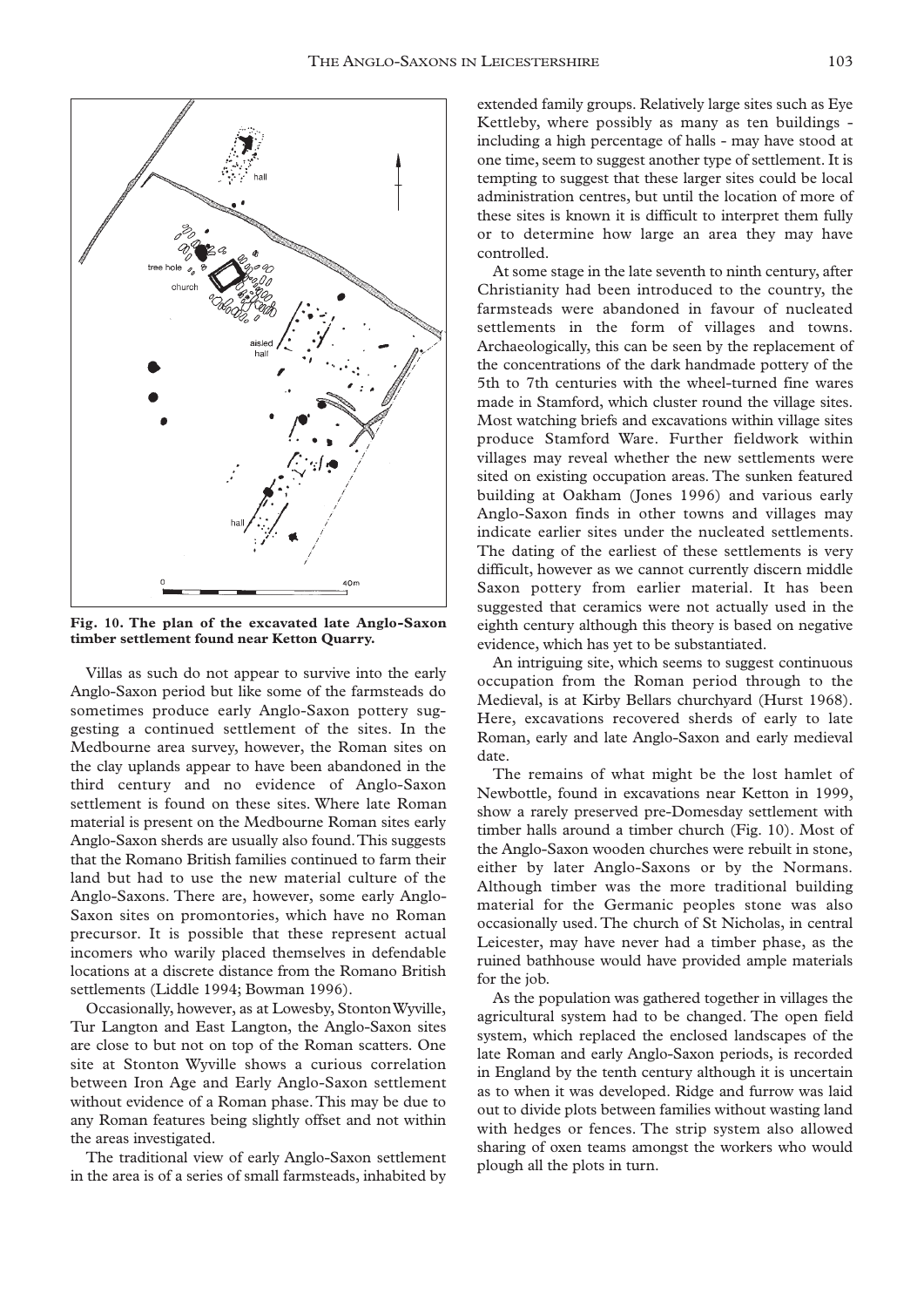

**Fig. 10. The plan of the excavated late Anglo-Saxon timber settlement found near Ketton Quarry.**

Villas as such do not appear to survive into the early Anglo-Saxon period but like some of the farmsteads do sometimes produce early Anglo-Saxon pottery suggesting a continued settlement of the sites. In the Medbourne area survey, however, the Roman sites on the clay uplands appear to have been abandoned in the third century and no evidence of Anglo-Saxon settlement is found on these sites. Where late Roman material is present on the Medbourne Roman sites early Anglo-Saxon sherds are usually also found.This suggests that the Romano British families continued to farm their land but had to use the new material culture of the Anglo-Saxons. There are, however, some early Anglo-Saxon sites on promontories, which have no Roman precursor. It is possible that these represent actual incomers who warily placed themselves in defendable locations at a discrete distance from the Romano British settlements (Liddle 1994; Bowman 1996).

Occasionally, however, as at Lowesby, Stonton Wyville, Tur Langton and East Langton, the Anglo-Saxon sites are close to but not on top of the Roman scatters. One site at Stonton Wyville shows a curious correlation between Iron Age and Early Anglo-Saxon settlement without evidence of a Roman phase.This may be due to any Roman features being slightly offset and not within the areas investigated.

The traditional view of early Anglo-Saxon settlement in the area is of a series of small farmsteads, inhabited by

extended family groups. Relatively large sites such as Eye Kettleby, where possibly as many as ten buildings including a high percentage of halls - may have stood at one time, seem to suggest another type of settlement. It is tempting to suggest that these larger sites could be local administration centres, but until the location of more of these sites is known it is difficult to interpret them fully or to determine how large an area they may have controlled.

At some stage in the late seventh to ninth century, after Christianity had been introduced to the country, the farmsteads were abandoned in favour of nucleated settlements in the form of villages and towns. Archaeologically, this can be seen by the replacement of the concentrations of the dark handmade pottery of the 5th to 7th centuries with the wheel-turned fine wares made in Stamford, which cluster round the village sites. Most watching briefs and excavations within village sites produce Stamford Ware. Further fieldwork within villages may reveal whether the new settlements were sited on existing occupation areas. The sunken featured building at Oakham (Jones 1996) and various early Anglo-Saxon finds in other towns and villages may indicate earlier sites under the nucleated settlements. The dating of the earliest of these settlements is very difficult, however as we cannot currently discern middle Saxon pottery from earlier material. It has been suggested that ceramics were not actually used in the eighth century although this theory is based on negative evidence, which has yet to be substantiated.

An intriguing site, which seems to suggest continuous occupation from the Roman period through to the Medieval, is at Kirby Bellars churchyard (Hurst 1968). Here, excavations recovered sherds of early to late Roman, early and late Anglo-Saxon and early medieval date.

The remains of what might be the lost hamlet of Newbottle, found in excavations near Ketton in 1999, show a rarely preserved pre-Domesday settlement with timber halls around a timber church (Fig. 10). Most of the Anglo-Saxon wooden churches were rebuilt in stone, either by later Anglo-Saxons or by the Normans. Although timber was the more traditional building material for the Germanic peoples stone was also occasionally used. The church of St Nicholas, in central Leicester, may have never had a timber phase, as the ruined bathhouse would have provided ample materials for the job.

As the population was gathered together in villages the agricultural system had to be changed. The open field system, which replaced the enclosed landscapes of the late Roman and early Anglo-Saxon periods, is recorded in England by the tenth century although it is uncertain as to when it was developed. Ridge and furrow was laid out to divide plots between families without wasting land with hedges or fences. The strip system also allowed sharing of oxen teams amongst the workers who would plough all the plots in turn.